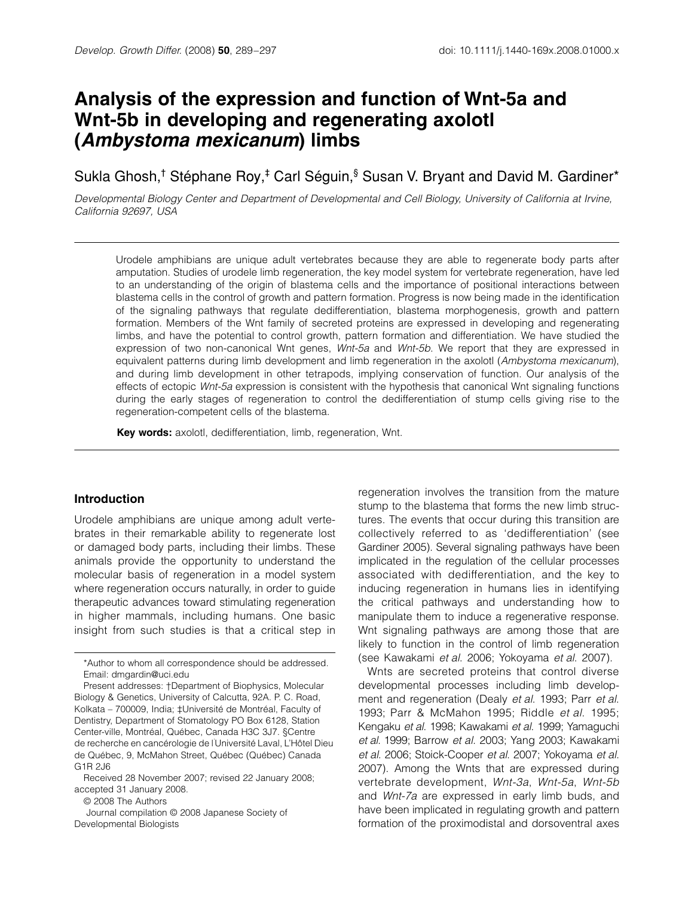# Analysis of the expression and function of Wnt-5a and **Wnt-5b in developing and regenerating axolotl (Ambystoma mexicanum) limbs**

Sukla Ghosh,<sup>†</sup> Stéphane Roy,<sup>‡</sup> Carl Séguin,<sup>§</sup> Susan V. Bryant and David M. Gardiner\*

Developmental Biology Center and Department of Developmental and Cell Biology, University of California at Irvine, California 92697, USA

Urodele amphibians are unique adult vertebrates because they are able to regenerate body parts after amputation. Studies of urodele limb regeneration, the key model system for vertebrate regeneration, have led to an understanding of the origin of blastema cells and the importance of positional interactions between blastema cells in the control of growth and pattern formation. Progress is now being made in the identification of the signaling pathways that regulate dedifferentiation, blastema morphogenesis, growth and pattern formation. Members of the Wnt family of secreted proteins are expressed in developing and regenerating limbs, and have the potential to control growth, pattern formation and differentiation. We have studied the expression of two non-canonical Wnt genes, Wnt-5a and Wnt-5b. We report that they are expressed in equivalent patterns during limb development and limb regeneration in the axolotl (Ambystoma mexicanum), and during limb development in other tetrapods, implying conservation of function. Our analysis of the effects of ectopic Wnt-5a expression is consistent with the hypothesis that canonical Wnt signaling functions during the early stages of regeneration to control the dedifferentiation of stump cells giving rise to the regeneration-competent cells of the blastema.

**Key words:** axolotl, dedifferentiation, limb, regeneration, Wnt.

#### **Introduction**

Urodele amphibians are unique among adult vertebrates in their remarkable ability to regenerate lost or damaged body parts, including their limbs. These animals provide the opportunity to understand the molecular basis of regeneration in a model system where regeneration occurs naturally, in order to guide therapeutic advances toward stimulating regeneration in higher mammals, including humans. One basic insight from such studies is that a critical step in

© 2008 The Authors

Journal compilation © 2008 Japanese Society of Developmental Biologists

regeneration involves the transition from the mature stump to the blastema that forms the new limb structures. The events that occur during this transition are collectively referred to as 'dedifferentiation' (see Gardiner 2005). Several signaling pathways have been implicated in the regulation of the cellular processes associated with dedifferentiation, and the key to inducing regeneration in humans lies in identifying the critical pathways and understanding how to manipulate them to induce a regenerative response. Wnt signaling pathways are among those that are likely to function in the control of limb regeneration (see Kawakami et al. 2006; Yokoyama et al. 2007).

Wnts are secreted proteins that control diverse developmental processes including limb development and regeneration (Dealy et al. 1993; Parr et al. 1993; Parr & McMahon 1995; Riddle et al. 1995; Kengaku et al. 1998; Kawakami et al. 1999; Yamaguchi et al. 1999; Barrow et al. 2003; Yang 2003; Kawakami et al. 2006; Stoick-Cooper et al. 2007; Yokoyama et al. 2007). Among the Wnts that are expressed during vertebrate development, Wnt-3a, Wnt-5a, Wnt-5b and Wnt-7a are expressed in early limb buds, and have been implicated in regulating growth and pattern formation of the proximodistal and dorsoventral axes

<sup>\*</sup>Author to whom all correspondence should be addressed. Email: dmgardin@uci.edu

Present addresses: †Department of Biophysics, Molecular Biology & Genetics, University of Calcutta, 92A. P. C. Road, Kolkata – 700009, India; ‡Université de Montréal, Faculty of Dentistry, Department of Stomatology PO Box 6128, Station Center-ville, Montréal, Québec, Canada H3C 3J7. §Centre de recherche en cancérologie de l'Université Laval, L'Hôtel Dieu de Québec, 9, McMahon Street, Québec (Québec) Canada G1R 2J6

Received 28 November 2007; revised 22 January 2008; accepted 31 January 2008.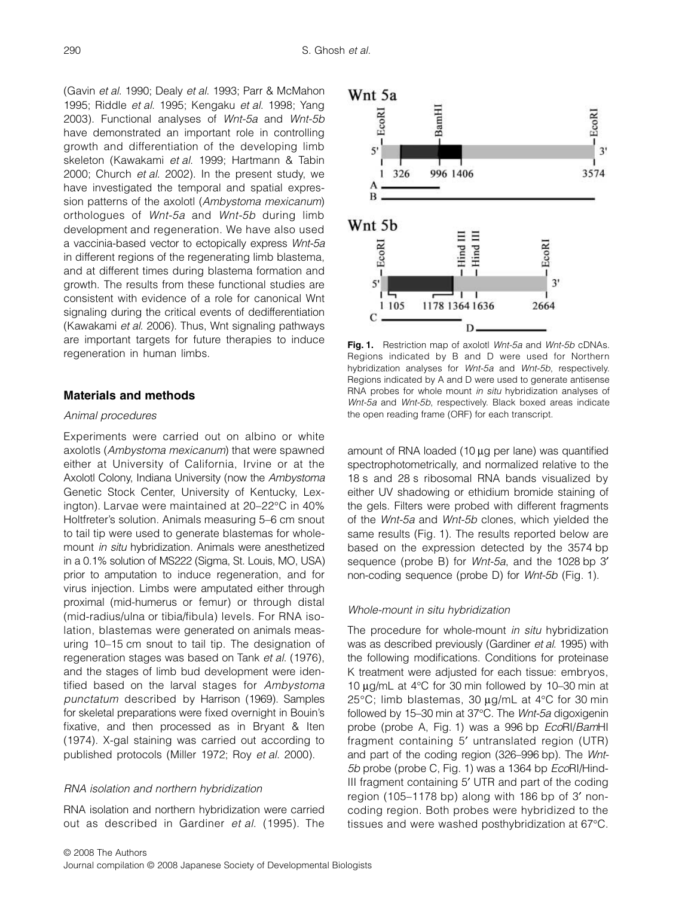(Gavin et al. 1990; Dealy et al. 1993; Parr & McMahon 1995; Riddle et al. 1995; Kengaku et al. 1998; Yang 2003). Functional analyses of Wnt-5a and Wnt-5b have demonstrated an important role in controlling growth and differentiation of the developing limb skeleton (Kawakami et al. 1999; Hartmann & Tabin 2000; Church et al. 2002). In the present study, we have investigated the temporal and spatial expression patterns of the axolotl (Ambystoma mexicanum) orthologues of Wnt-5a and Wnt-5b during limb development and regeneration. We have also used a vaccinia-based vector to ectopically express Wnt-5a in different regions of the regenerating limb blastema, and at different times during blastema formation and growth. The results from these functional studies are consistent with evidence of a role for canonical Wnt signaling during the critical events of dedifferentiation (Kawakami et al. 2006). Thus, Wnt signaling pathways are important targets for future therapies to induce regeneration in human limbs.

## **Materials and methods**

#### Animal procedures

Experiments were carried out on albino or white axolotls (Ambystoma mexicanum) that were spawned either at University of California, Irvine or at the Axolotl Colony, Indiana University (now the Ambystoma Genetic Stock Center, University of Kentucky, Lexington). Larvae were maintained at 20–22°C in 40% Holtfreter's solution. Animals measuring 5–6 cm snout to tail tip were used to generate blastemas for wholemount in situ hybridization. Animals were anesthetized in a 0.1% solution of MS222 (Sigma, St. Louis, MO, USA) prior to amputation to induce regeneration, and for virus injection. Limbs were amputated either through proximal (mid-humerus or femur) or through distal (mid-radius/ulna or tibia/fibula) levels. For RNA isolation, blastemas were generated on animals measuring 10–15 cm snout to tail tip. The designation of regeneration stages was based on Tank et al. (1976), and the stages of limb bud development were identified based on the larval stages for Ambystoma punctatum described by Harrison (1969). Samples for skeletal preparations were fixed overnight in Bouin's fixative, and then processed as in Bryant & Iten (1974). X-gal staining was carried out according to published protocols (Miller 1972; Roy et al. 2000).

#### RNA isolation and northern hybridization

RNA isolation and northern hybridization were carried out as described in Gardiner et al. (1995). The



Fig. 1. Restriction map of axolotl Wnt-5a and Wnt-5b cDNAs. Regions indicated by B and D were used for Northern hybridization analyses for Wnt-5a and Wnt-5b, respectively. Regions indicated by A and D were used to generate antisense RNA probes for whole mount in situ hybridization analyses of Wnt-5a and Wnt-5b, respectively. Black boxed areas indicate the open reading frame (ORF) for each transcript.

amount of RNA loaded  $(10 \mu g$  per lane) was quantified spectrophotometrically, and normalized relative to the 18 s and 28 s ribosomal RNA bands visualized by either UV shadowing or ethidium bromide staining of the gels. Filters were probed with different fragments of the Wnt-5a and Wnt-5b clones, which yielded the same results (Fig. 1). The results reported below are based on the expression detected by the 3574 bp sequence (probe B) for *Wnt-5a*, and the 1028 bp 3' non-coding sequence (probe D) for Wnt-5b (Fig. 1).

#### Whole-mount in situ hybridization

The procedure for whole-mount in situ hybridization was as described previously (Gardiner et al. 1995) with the following modifications. Conditions for proteinase K treatment were adjusted for each tissue: embryos, 10 µg/mL at 4°C for 30 min followed by 10–30 min at 25°C; limb blastemas, 30 µg/mL at 4°C for 30 min followed by 15–30 min at 37°C. The Wnt-5a digoxigenin probe (probe A, Fig. 1) was a 996 bp EcoRI/BamHI fragment containing 5′ untranslated region (UTR) and part of the coding region (326–996 bp). The Wnt-5b probe (probe C, Fig. 1) was a 1364 bp EcoRl/Hind-III fragment containing 5′ UTR and part of the coding region (105–1178 bp) along with 186 bp of 3′ noncoding region. Both probes were hybridized to the tissues and were washed posthybridization at 67°C.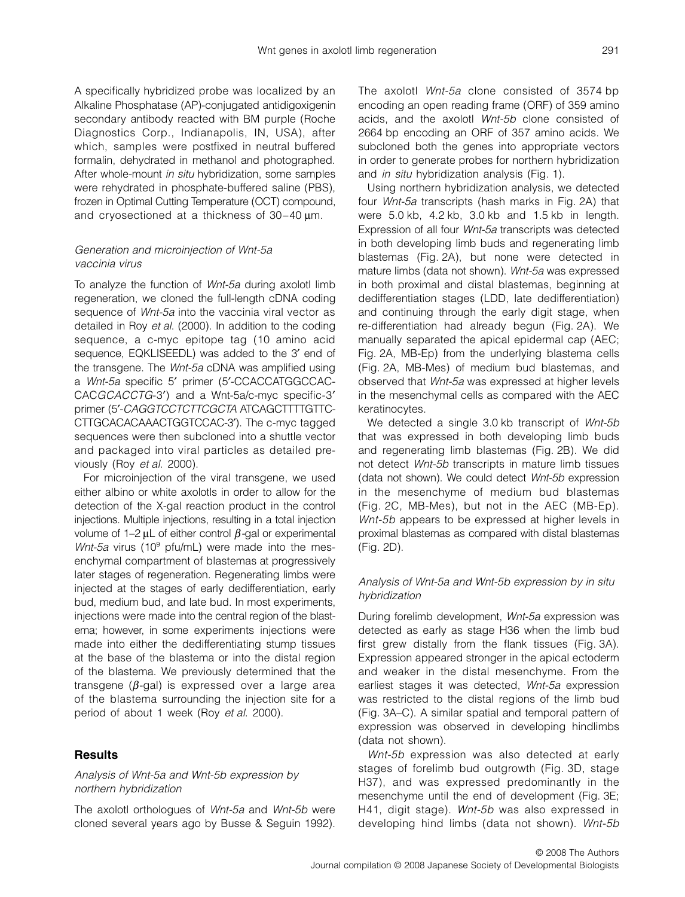A specifically hybridized probe was localized by an Alkaline Phosphatase (AP)-conjugated antidigoxigenin secondary antibody reacted with BM purple (Roche Diagnostics Corp., Indianapolis, IN, USA), after which, samples were postfixed in neutral buffered formalin, dehydrated in methanol and photographed. After whole-mount in situ hybridization, some samples were rehydrated in phosphate-buffered saline (PBS), frozen in Optimal Cutting Temperature (OCT) compound, and cryosectioned at a thickness of 30–40 µm.

# Generation and microinjection of Wnt-5a vaccinia virus

To analyze the function of Wnt-5a during axolotl limb regeneration, we cloned the full-length cDNA coding sequence of *Wnt-5a* into the vaccinia viral vector as detailed in Roy et al. (2000). In addition to the coding sequence, a c-myc epitope tag (10 amino acid sequence, EQKLISEEDL) was added to the 3′ end of the transgene. The Wnt-5a cDNA was amplified using a Wnt-5a specific 5′ primer (5′-CCACCATGGCCAC-CACGCACCTG-3′) and a Wnt-5a/c-myc specific-3′ primer (5'-CAGGTCCTCTTCGCTA ATCAGCTTTTGTTC-CTTGCACACAAACTGGTCCAC-3′). The c-myc tagged sequences were then subcloned into a shuttle vector and packaged into viral particles as detailed previously (Roy et al. 2000).

For microinjection of the viral transgene, we used either albino or white axolotls in order to allow for the detection of the X-gal reaction product in the control injections. Multiple injections, resulting in a total injection volume of 1–2  $\mu$ L of either control  $\beta$ -gal or experimental Wnt-5a virus (10 $^{\circ}$  pfu/mL) were made into the mesenchymal compartment of blastemas at progressively later stages of regeneration. Regenerating limbs were injected at the stages of early dedifferentiation, early bud, medium bud, and late bud. In most experiments, injections were made into the central region of the blastema; however, in some experiments injections were made into either the dedifferentiating stump tissues at the base of the blastema or into the distal region of the blastema. We previously determined that the transgene ( $β$ -gal) is expressed over a large area of the blastema surrounding the injection site for a period of about 1 week (Roy et al. 2000).

#### **Results**

# Analysis of Wnt-5a and Wnt-5b expression by northern hybridization

The axolotl orthologues of *Wnt-5a* and *Wnt-5b* were cloned several years ago by Busse & Seguin 1992). The axolotl Wnt-5a clone consisted of 3574 bp encoding an open reading frame (ORF) of 359 amino acids, and the axolotl Wnt-5b clone consisted of 2664 bp encoding an ORF of 357 amino acids. We subcloned both the genes into appropriate vectors in order to generate probes for northern hybridization and *in situ* hybridization analysis (Fig. 1).

Using northern hybridization analysis, we detected four Wnt-5a transcripts (hash marks in Fig. 2A) that were 5.0 kb, 4.2 kb, 3.0 kb and 1.5 kb in length. Expression of all four Wnt-5a transcripts was detected in both developing limb buds and regenerating limb blastemas (Fig. 2A), but none were detected in mature limbs (data not shown). Wnt-5a was expressed in both proximal and distal blastemas, beginning at dedifferentiation stages (LDD, late dedifferentiation) and continuing through the early digit stage, when re-differentiation had already begun (Fig. 2A). We manually separated the apical epidermal cap (AEC; Fig. 2A, MB-Ep) from the underlying blastema cells (Fig. 2A, MB-Mes) of medium bud blastemas, and observed that Wnt-5a was expressed at higher levels in the mesenchymal cells as compared with the AEC keratinocytes.

We detected a single 3.0 kb transcript of Wnt-5b that was expressed in both developing limb buds and regenerating limb blastemas (Fig. 2B). We did not detect Wnt-5b transcripts in mature limb tissues (data not shown). We could detect Wnt-5b expression in the mesenchyme of medium bud blastemas (Fig. 2C, MB-Mes), but not in the AEC (MB-Ep). Wnt-5b appears to be expressed at higher levels in proximal blastemas as compared with distal blastemas (Fig. 2D).

# Analysis of Wnt-5a and Wnt-5b expression by in situ hybridization

During forelimb development, Wnt-5a expression was detected as early as stage H36 when the limb bud first grew distally from the flank tissues (Fig. 3A). Expression appeared stronger in the apical ectoderm and weaker in the distal mesenchyme. From the earliest stages it was detected, Wnt-5a expression was restricted to the distal regions of the limb bud (Fig. 3A–C). A similar spatial and temporal pattern of expression was observed in developing hindlimbs (data not shown).

Wnt-5b expression was also detected at early stages of forelimb bud outgrowth (Fig. 3D, stage H37), and was expressed predominantly in the mesenchyme until the end of development (Fig. 3E; H41, digit stage). Wnt-5b was also expressed in developing hind limbs (data not shown). Wnt-5b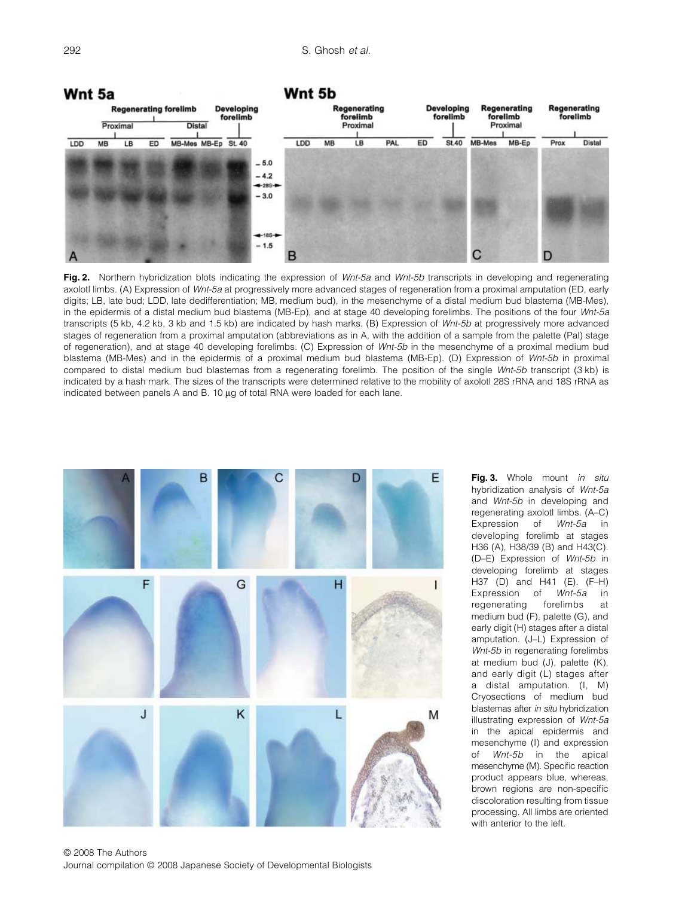

Fig. 2. Northern hybridization blots indicating the expression of Wnt-5a and Wnt-5b transcripts in developing and regenerating axolotl limbs. (A) Expression of Wnt-5a at progressively more advanced stages of regeneration from a proximal amputation (ED, early digits; LB, late bud; LDD, late dedifferentiation; MB, medium bud), in the mesenchyme of a distal medium bud blastema (MB-Mes), in the epidermis of a distal medium bud blastema (MB-Ep), and at stage 40 developing forelimbs. The positions of the four Wnt-5a transcripts (5 kb, 4.2 kb, 3 kb and 1.5 kb) are indicated by hash marks. (B) Expression of Wnt-5b at progressively more advanced stages of regeneration from a proximal amputation (abbreviations as in A, with the addition of a sample from the palette (Pal) stage of regeneration), and at stage 40 developing forelimbs. (C) Expression of Wnt-5b in the mesenchyme of a proximal medium bud blastema (MB-Mes) and in the epidermis of a proximal medium bud blastema (MB-Ep). (D) Expression of Wnt-5b in proximal compared to distal medium bud blastemas from a regenerating forelimb. The position of the single Wnt-5b transcript (3 kb) is indicated by a hash mark. The sizes of the transcripts were determined relative to the mobility of axolotl 28S rRNA and 18S rRNA as indicated between panels A and B. 10 µg of total RNA were loaded for each lane.



© 2008 The Authors Journal compilation © 2008 Japanese Society of Developmental Biologists

Fig. 3. Whole mount in situ hybridization analysis of Wnt-5a and Wnt-5b in developing and regenerating axolotl limbs. (A–C) Expression of Wnt-5a in developing forelimb at stages H36 (A), H38/39 (B) and H43(C). (D–E) Expression of Wnt-5b in developing forelimb at stages H37 (D) and H41 (E). (F–H) Expression of Wnt-5a in regenerating forelimbs at medium bud (F), palette (G), and early digit (H) stages after a distal amputation. (J–L) Expression of Wnt-5b in regenerating forelimbs at medium bud (J), palette (K), and early digit (L) stages after a distal amputation. (I, M) Cryosections of medium bud blastemas after in situ hybridization illustrating expression of Wnt-5a in the apical epidermis and mesenchyme (I) and expression of Wnt-5b in the apical mesenchyme (M). Specific reaction product appears blue, whereas, brown regions are non-specific discoloration resulting from tissue processing. All limbs are oriented with anterior to the left.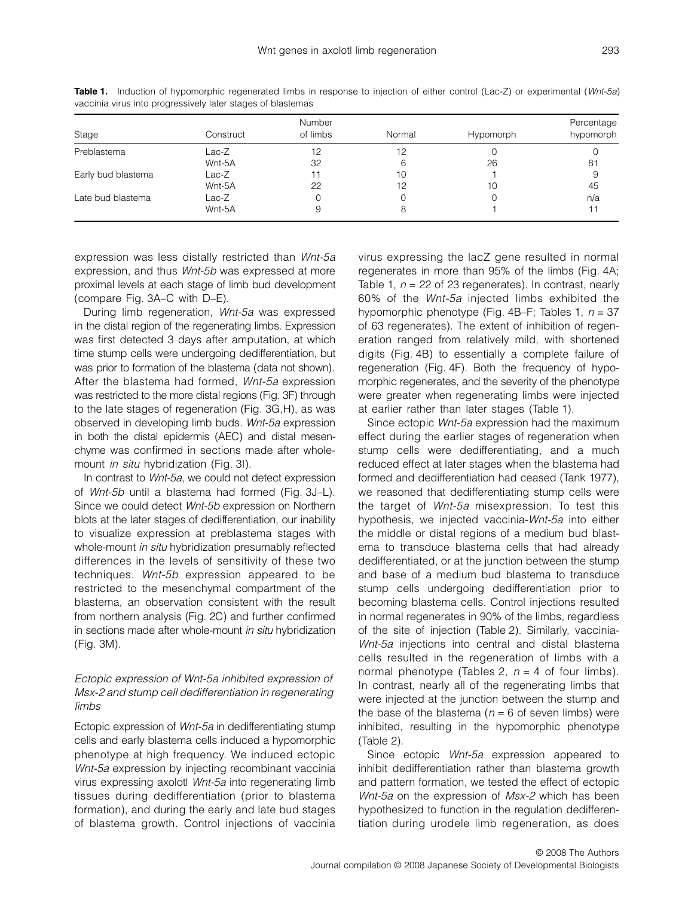| Stage              | Construct | Number<br>of limbs | Normal | Hypomorph | Percentage<br>hypomorph |
|--------------------|-----------|--------------------|--------|-----------|-------------------------|
| Preblastema        | Lac-Z     | 12                 | 12     |           |                         |
|                    | Wnt-5A    | 32                 |        | 26        | 81                      |
| Early bud blastema | Lac-Z     |                    | 10     |           |                         |
|                    | Wnt-5A    | 22                 | 12     | 10        | 45                      |
| Late bud blastema  | Lac-Z     |                    |        |           | n/a                     |
|                    | Wnt-5A    |                    |        |           |                         |

**Table 1.** Induction of hypomorphic regenerated limbs in response to injection of either control (Lac-Z) or experimental (Wnt-5a) vaccinia virus into progressively later stages of blastemas

expression was less distally restricted than Wnt-5a expression, and thus Wnt-5b was expressed at more proximal levels at each stage of limb bud development (compare Fig. 3A–C with D–E).

During limb regeneration, Wnt-5a was expressed in the distal region of the regenerating limbs. Expression was first detected 3 days after amputation, at which time stump cells were undergoing dedifferentiation, but was prior to formation of the blastema (data not shown). After the blastema had formed, Wnt-5a expression was restricted to the more distal regions (Fig. 3F) through to the late stages of regeneration (Fig. 3G,H), as was observed in developing limb buds. Wnt-5a expression in both the distal epidermis (AEC) and distal mesenchyme was confirmed in sections made after wholemount *in situ* hybridization (Fig. 3I).

In contrast to Wnt-5a, we could not detect expression of Wnt-5b until a blastema had formed (Fig. 3J–L). Since we could detect Wnt-5b expression on Northern blots at the later stages of dedifferentiation, our inability to visualize expression at preblastema stages with whole-mount *in situ* hybridization presumably reflected differences in the levels of sensitivity of these two techniques. Wnt-5b expression appeared to be restricted to the mesenchymal compartment of the blastema, an observation consistent with the result from northern analysis (Fig. 2C) and further confirmed in sections made after whole-mount in situ hybridization (Fig. 3M).

# Ectopic expression of Wnt-5a inhibited expression of Msx-2 and stump cell dedifferentiation in regenerating limbs

Ectopic expression of Wnt-5a in dedifferentiating stump cells and early blastema cells induced a hypomorphic phenotype at high frequency. We induced ectopic Wnt-5a expression by injecting recombinant vaccinia virus expressing axolotl Wnt-5a into regenerating limb tissues during dedifferentiation (prior to blastema formation), and during the early and late bud stages of blastema growth. Control injections of vaccinia virus expressing the lacZ gene resulted in normal regenerates in more than 95% of the limbs (Fig. 4A; Table 1,  $n = 22$  of 23 regenerates). In contrast, nearly 60% of the Wnt-5a injected limbs exhibited the hypomorphic phenotype (Fig. 4B–F; Tables 1,  $n = 37$ of 63 regenerates). The extent of inhibition of regeneration ranged from relatively mild, with shortened digits (Fig. 4B) to essentially a complete failure of regeneration (Fig. 4F). Both the frequency of hypomorphic regenerates, and the severity of the phenotype were greater when regenerating limbs were injected at earlier rather than later stages (Table 1).

Since ectopic Wnt-5a expression had the maximum effect during the earlier stages of regeneration when stump cells were dedifferentiating, and a much reduced effect at later stages when the blastema had formed and dedifferentiation had ceased (Tank 1977), we reasoned that dedifferentiating stump cells were the target of Wnt-5a misexpression. To test this hypothesis, we injected vaccinia-Wnt-5a into either the middle or distal regions of a medium bud blastema to transduce blastema cells that had already dedifferentiated, or at the junction between the stump and base of a medium bud blastema to transduce stump cells undergoing dedifferentiation prior to becoming blastema cells. Control injections resulted in normal regenerates in 90% of the limbs, regardless of the site of injection (Table 2). Similarly, vaccinia-Wnt-5a injections into central and distal blastema cells resulted in the regeneration of limbs with a normal phenotype (Tables 2,  $n = 4$  of four limbs). In contrast, nearly all of the regenerating limbs that were injected at the junction between the stump and the base of the blastema ( $n = 6$  of seven limbs) were inhibited, resulting in the hypomorphic phenotype (Table 2).

Since ectopic *Wnt-5a* expression appeared to inhibit dedifferentiation rather than blastema growth and pattern formation, we tested the effect of ectopic Wnt-5a on the expression of Msx-2 which has been hypothesized to function in the regulation dedifferentiation during urodele limb regeneration, as does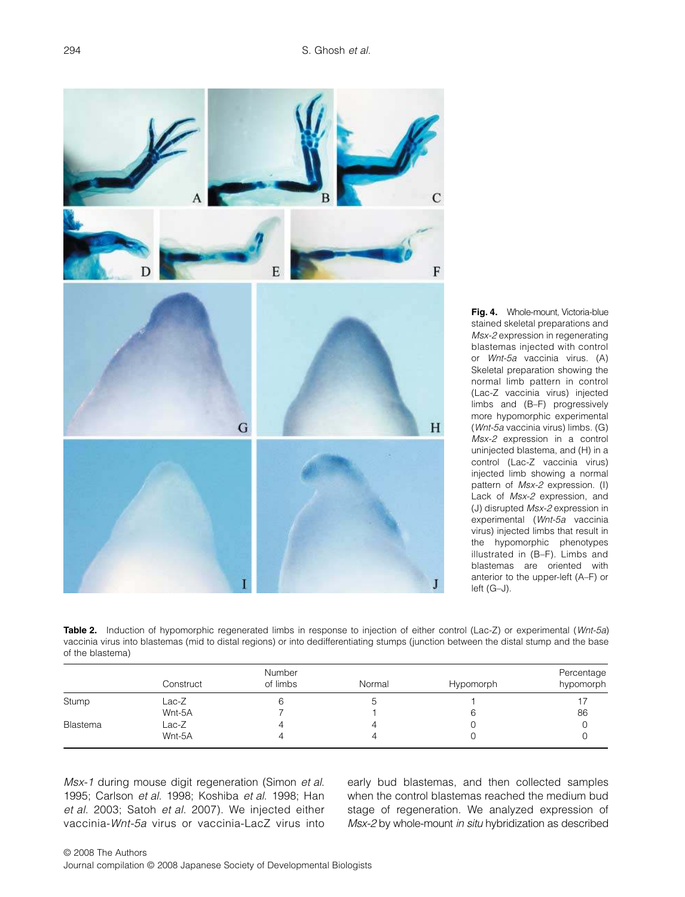

Fig. 4. Whole-mount, Victoria-blue stained skeletal preparations and Msx-2 expression in regenerating blastemas injected with control or Wnt-5a vaccinia virus. (A) Skeletal preparation showing the normal limb pattern in control (Lac-Z vaccinia virus) injected limbs and (B–F) progressively more hypomorphic experimental (Wnt-5a vaccinia virus) limbs. (G) Msx-2 expression in a control uninjected blastema, and (H) in a control (Lac-Z vaccinia virus) injected limb showing a normal pattern of Msx-2 expression. (I) Lack of Msx-2 expression, and (J) disrupted Msx-2 expression in experimental (Wnt-5a vaccinia virus) injected limbs that result in the hypomorphic phenotypes illustrated in (B–F). Limbs and blastemas are oriented with anterior to the upper-left (A–F) or left (G–J).

**Table 2.** Induction of hypomorphic regenerated limbs in response to injection of either control (Lac-Z) or experimental (Wnt-5a) vaccinia virus into blastemas (mid to distal regions) or into dedifferentiating stumps (junction between the distal stump and the base of the blastema)

|          | Construct | Number<br>of limbs | Normal | Hypomorph | Percentage<br>hypomorph |
|----------|-----------|--------------------|--------|-----------|-------------------------|
|          |           |                    |        |           |                         |
| Stump    | Lac-Z     |                    | J      |           |                         |
|          | Wnt-5A    |                    |        |           | 86                      |
| Blastema | Lac-Z     |                    |        |           |                         |
|          | Wnt-5A    | 4                  |        |           |                         |

Msx-1 during mouse digit regeneration (Simon et al. 1995; Carlson et al. 1998; Koshiba et al. 1998; Han et al. 2003; Satoh et al. 2007). We injected either vaccinia-Wnt-5a virus or vaccinia-LacZ virus into early bud blastemas, and then collected samples when the control blastemas reached the medium bud stage of regeneration. We analyzed expression of Msx-2 by whole-mount in situ hybridization as described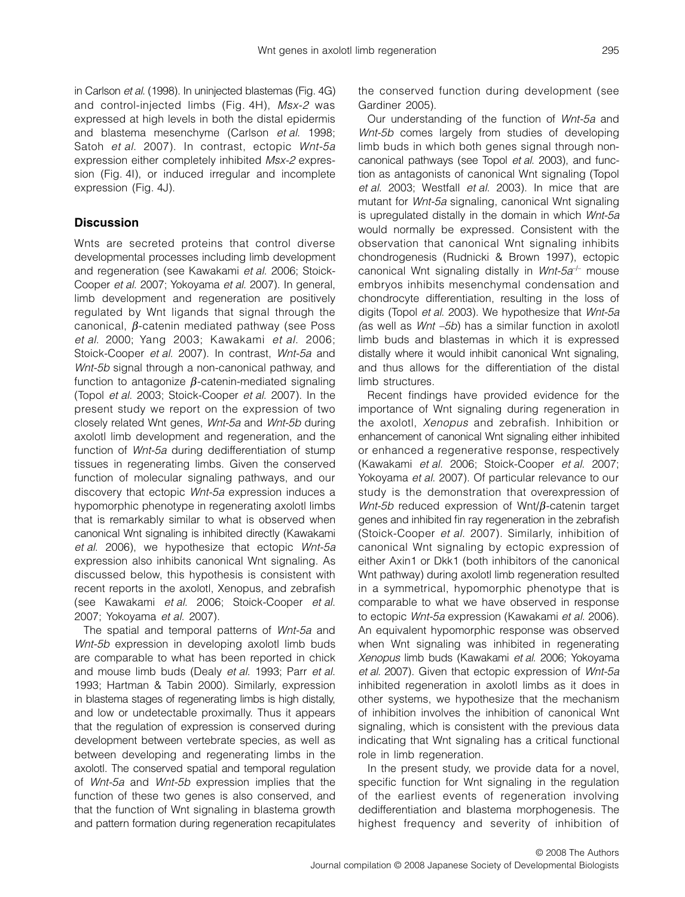in Carlson et al. (1998). In uninjected blastemas (Fig. 4G) and control-injected limbs (Fig. 4H), Msx-2 was expressed at high levels in both the distal epidermis and blastema mesenchyme (Carlson et al. 1998; Satoh et al. 2007). In contrast, ectopic Wnt-5a expression either completely inhibited Msx-2 expression (Fig. 4I), or induced irregular and incomplete expression (Fig. 4J).

# **Discussion**

Wnts are secreted proteins that control diverse developmental processes including limb development and regeneration (see Kawakami et al. 2006; Stoick-Cooper et al. 2007; Yokoyama et al. 2007). In general, limb development and regeneration are positively regulated by Wnt ligands that signal through the canonical, β-catenin mediated pathway (see Poss et al. 2000; Yang 2003; Kawakami et al. 2006; Stoick-Cooper et al. 2007). In contrast, Wnt-5a and Wnt-5b signal through a non-canonical pathway, and function to antagonize  $\beta$ -catenin-mediated signaling (Topol et al. 2003; Stoick-Cooper et al. 2007). In the present study we report on the expression of two closely related Wnt genes, Wnt-5a and Wnt-5b during axolotl limb development and regeneration, and the function of Wnt-5a during dedifferentiation of stump tissues in regenerating limbs. Given the conserved function of molecular signaling pathways, and our discovery that ectopic Wnt-5a expression induces a hypomorphic phenotype in regenerating axolotl limbs that is remarkably similar to what is observed when canonical Wnt signaling is inhibited directly (Kawakami et al. 2006), we hypothesize that ectopic Wnt-5a expression also inhibits canonical Wnt signaling. As discussed below, this hypothesis is consistent with recent reports in the axolotl, Xenopus, and zebrafish (see Kawakami et al. 2006; Stoick-Cooper et al. 2007; Yokoyama et al. 2007).

The spatial and temporal patterns of Wnt-5a and Wnt-5b expression in developing axolotl limb buds are comparable to what has been reported in chick and mouse limb buds (Dealy et al. 1993; Parr et al. 1993; Hartman & Tabin 2000). Similarly, expression in blastema stages of regenerating limbs is high distally, and low or undetectable proximally. Thus it appears that the regulation of expression is conserved during development between vertebrate species, as well as between developing and regenerating limbs in the axolotl. The conserved spatial and temporal regulation of Wnt-5a and Wnt-5b expression implies that the function of these two genes is also conserved, and that the function of Wnt signaling in blastema growth and pattern formation during regeneration recapitulates the conserved function during development (see Gardiner 2005).

Our understanding of the function of Wnt-5a and Wnt-5b comes largely from studies of developing limb buds in which both genes signal through noncanonical pathways (see Topol et al. 2003), and function as antagonists of canonical Wnt signaling (Topol et al. 2003; Westfall et al. 2003). In mice that are mutant for Wnt-5a signaling, canonical Wnt signaling is upregulated distally in the domain in which Wnt-5a would normally be expressed. Consistent with the observation that canonical Wnt signaling inhibits chondrogenesis (Rudnicki & Brown 1997), ectopic canonical Wnt signaling distally in *Wnt-5a<sup>-1-</sup>* mouse embryos inhibits mesenchymal condensation and chondrocyte differentiation, resulting in the loss of digits (Topol et al. 2003). We hypothesize that Wnt-5a (as well as Wnt –5b) has a similar function in axolotl limb buds and blastemas in which it is expressed distally where it would inhibit canonical Wnt signaling, and thus allows for the differentiation of the distal limb structures.

Recent findings have provided evidence for the importance of Wnt signaling during regeneration in the axolotl, Xenopus and zebrafish. Inhibition or enhancement of canonical Wnt signaling either inhibited or enhanced a regenerative response, respectively (Kawakami et al. 2006; Stoick-Cooper et al. 2007; Yokoyama et al. 2007). Of particular relevance to our study is the demonstration that overexpression of Wnt-5b reduced expression of Wnt/ $\beta$ -catenin target genes and inhibited fin ray regeneration in the zebrafish (Stoick-Cooper et al. 2007). Similarly, inhibition of canonical Wnt signaling by ectopic expression of either Axin1 or Dkk1 (both inhibitors of the canonical Wnt pathway) during axolotl limb regeneration resulted in a symmetrical, hypomorphic phenotype that is comparable to what we have observed in response to ectopic Wnt-5a expression (Kawakami et al. 2006). An equivalent hypomorphic response was observed when Wnt signaling was inhibited in regenerating Xenopus limb buds (Kawakami et al. 2006; Yokoyama et al. 2007). Given that ectopic expression of Wnt-5a inhibited regeneration in axolotl limbs as it does in other systems, we hypothesize that the mechanism of inhibition involves the inhibition of canonical Wnt signaling, which is consistent with the previous data indicating that Wnt signaling has a critical functional role in limb regeneration.

In the present study, we provide data for a novel, specific function for Wnt signaling in the regulation of the earliest events of regeneration involving dedifferentiation and blastema morphogenesis. The highest frequency and severity of inhibition of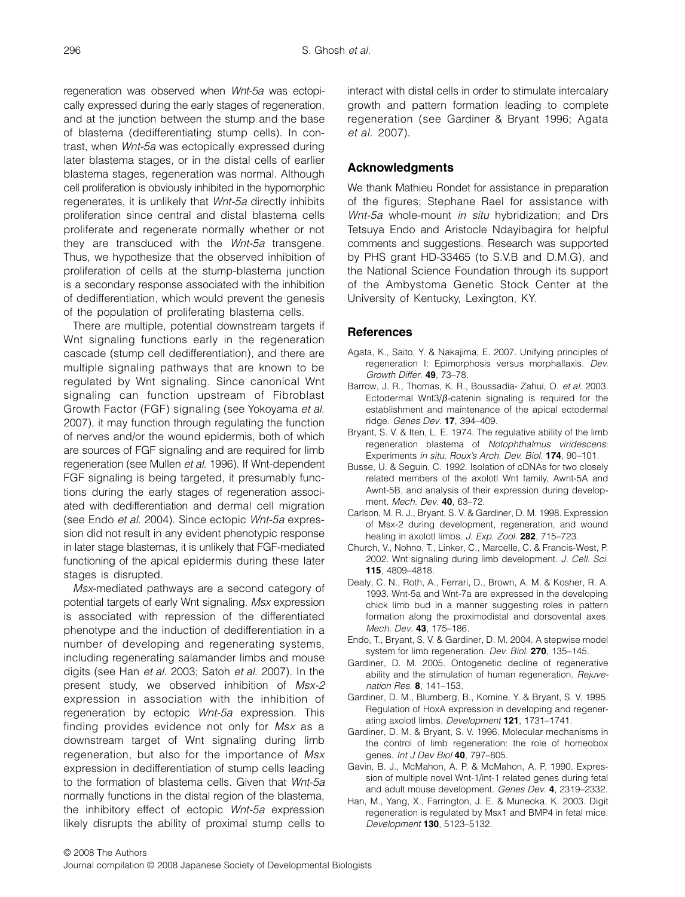regeneration was observed when Wnt-5a was ectopically expressed during the early stages of regeneration, and at the junction between the stump and the base of blastema (dedifferentiating stump cells). In contrast, when Wnt-5a was ectopically expressed during later blastema stages, or in the distal cells of earlier blastema stages, regeneration was normal. Although cell proliferation is obviously inhibited in the hypomorphic regenerates, it is unlikely that Wnt-5a directly inhibits proliferation since central and distal blastema cells proliferate and regenerate normally whether or not they are transduced with the Wnt-5a transgene. Thus, we hypothesize that the observed inhibition of proliferation of cells at the stump-blastema junction is a secondary response associated with the inhibition of dedifferentiation, which would prevent the genesis of the population of proliferating blastema cells.

There are multiple, potential downstream targets if Wnt signaling functions early in the regeneration cascade (stump cell dedifferentiation), and there are multiple signaling pathways that are known to be regulated by Wnt signaling. Since canonical Wnt signaling can function upstream of Fibroblast Growth Factor (FGF) signaling (see Yokoyama et al. 2007), it may function through regulating the function of nerves and/or the wound epidermis, both of which are sources of FGF signaling and are required for limb regeneration (see Mullen et al. 1996). If Wnt-dependent FGF signaling is being targeted, it presumably functions during the early stages of regeneration associated with dedifferentiation and dermal cell migration (see Endo et al. 2004). Since ectopic Wnt-5a expression did not result in any evident phenotypic response in later stage blastemas, it is unlikely that FGF-mediated functioning of the apical epidermis during these later stages is disrupted.

Msx-mediated pathways are a second category of potential targets of early Wnt signaling. Msx expression is associated with repression of the differentiated phenotype and the induction of dedifferentiation in a number of developing and regenerating systems, including regenerating salamander limbs and mouse digits (see Han et al. 2003; Satoh et al. 2007). In the present study, we observed inhibition of Msx-2 expression in association with the inhibition of regeneration by ectopic Wnt-5a expression. This finding provides evidence not only for Msx as a downstream target of Wnt signaling during limb regeneration, but also for the importance of Msx expression in dedifferentiation of stump cells leading to the formation of blastema cells. Given that Wnt-5a normally functions in the distal region of the blastema, the inhibitory effect of ectopic Wnt-5a expression likely disrupts the ability of proximal stump cells to

interact with distal cells in order to stimulate intercalary growth and pattern formation leading to complete regeneration (see Gardiner & Bryant 1996; Agata et al. 2007).

# **Acknowledgments**

We thank Mathieu Rondet for assistance in preparation of the figures; Stephane Rael for assistance with Wnt-5a whole-mount in situ hybridization; and Drs Tetsuya Endo and Aristocle Ndayibagira for helpful comments and suggestions. Research was supported by PHS grant HD-33465 (to S.V.B and D.M.G), and the National Science Foundation through its support of the Ambystoma Genetic Stock Center at the University of Kentucky, Lexington, KY.

#### **References**

- Agata, K., Saito, Y. & Nakajima, E. 2007. Unifying principles of regeneration I: Epimorphosis versus morphallaxis. Dev. Growth Differ. **49**, 73–78.
- Barrow, J. R., Thomas, K. R., Boussadia- Zahui, O. et al. 2003. Ectodermal Wnt3/ $\beta$ -catenin signaling is required for the establishment and maintenance of the apical ectodermal ridge. Genes Dev. **17**, 394–409.
- Bryant, S. V. & Iten, L. E. 1974. The regulative ability of the limb regeneration blastema of Notophthalmus viridescens: Experiments in situ. Roux's Arch. Dev. Biol. **174**, 90–101.
- Busse, U. & Seguin, C. 1992. Isolation of cDNAs for two closely related members of the axolotl Wnt family, Awnt-5A and Awnt-5B, and analysis of their expression during development. Mech. Dev. **40**, 63–72.
- Carlson, M. R. J., Bryant, S. V. & Gardiner, D. M. 1998. Expression of Msx-2 during development, regeneration, and wound healing in axolotl limbs. J. Exp. Zool. **282**, 715–723.
- Church, V., Nohno, T., Linker, C., Marcelle, C. & Francis-West, P. 2002. Wnt signaling during limb development. J. Cell. Sci. **115**, 4809–4818.
- Dealy, C. N., Roth, A., Ferrari, D., Brown, A. M. & Kosher, R. A. 1993. Wnt-5a and Wnt-7a are expressed in the developing chick limb bud in a manner suggesting roles in pattern formation along the proximodistal and dorsovental axes. Mech. Dev. **43**, 175–186.
- Endo, T., Bryant, S. V. & Gardiner, D. M. 2004. A stepwise model system for limb regeneration. Dev. Biol. **270**, 135–145.
- Gardiner, D. M. 2005. Ontogenetic decline of regenerative ability and the stimulation of human regeneration. Rejuvenation Res. **8**, 141–153.
- Gardiner, D. M., Blumberg, B., Komine, Y. & Bryant, S. V. 1995. Regulation of HoxA expression in developing and regenerating axolotl limbs. Development **121**, 1731–1741.
- Gardiner, D. M. & Bryant, S. V. 1996. Molecular mechanisms in the control of limb regeneration: the role of homeobox genes. Int J Dev Biol **40**, 797–805.
- Gavin, B. J., McMahon, A. P. & McMahon, A. P. 1990. Expression of multiple novel Wnt-1/int-1 related genes during fetal and adult mouse development. Genes Dev. **4**, 2319–2332.
- Han, M., Yang, X., Farrington, J. E. & Muneoka, K. 2003. Digit regeneration is regulated by Msx1 and BMP4 in fetal mice. Development **130**, 5123–5132.